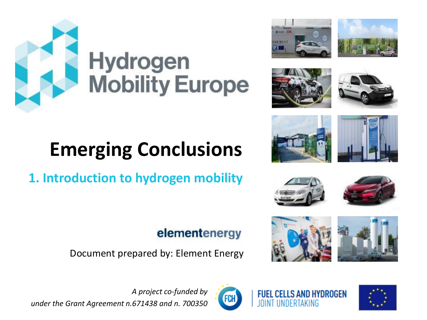

# **Hydrogen<br>Mobility Europe**

# **Emerging Conclusions**

**1. Introduction to hydrogen mobility**

# elementenergy

Document prepared by: Element Energy



















**FUEL CELLS AND HYDROGEN** 





*A project co-funded by under the Grant Agreement n.671438 and n. 700350*

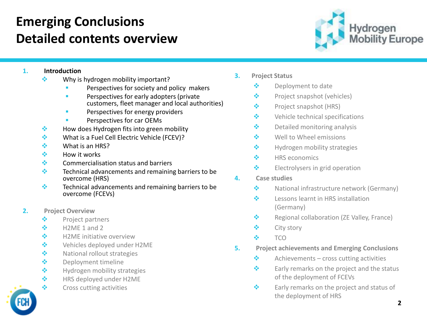# **Emerging Conclusions Detailed contents overview**



### **1. Introduction**

- ❖ Why is hydrogen mobility important?
	- Perspectives for society and policy makers
	- **■** Perspectives for early adopters (private customers, fleet manager and local authorities)
	- **E** Perspectives for energy providers
	- Perspectives for car OEMs
- ❖ How does Hydrogen fits into green mobility
- ❖ What is a Fuel Cell Electric Vehicle (FCEV)?
- ❖ What is an HRS?
- ❖ How it works
- ❖ Commercialisation status and barriers
- ❖ Technical advancements and remaining barriers to be overcome (HRS)
- ❖ Technical advancements and remaining barriers to be overcome (FCEVs)
- **2. Project Overview**
	- ❖ Project partners
	- $\div$  H2ME 1 and 2
	- ❖ H2ME initiative overview
	- ❖ Vehicles deployed under H2ME
	- ❖ National rollout strategies
	- ❖ Deployment timeline
	- ❖ Hydrogen mobility strategies
	- ❖ HRS deployed under H2ME
	- ❖ Cross cutting activities
- **3. Project Status**
	- ❖ Deployment to date
	- ❖ Project snapshot (vehicles)
	- ❖ Project snapshot (HRS)
	- ❖ Vehicle technical specifications
	- ❖ Detailed monitoring analysis
	- ❖ Well to Wheel emissions
	- ❖ Hydrogen mobility strategies
	- ❖ HRS economics
	- ❖ Electrolysers in grid operation
- **4. Case studies**
	- ❖ National infrastructure network (Germany)
	- ❖ Lessons learnt in HRS installation (Germany)
	- ❖ Regional collaboration (ZE Valley, France)
	- ❖ City story
	- ❖ TCO
- **5. Project achievements and Emerging Conclusions**
	- $\diamondsuit$  Achievements cross cutting activities
	- ❖ Early remarks on the project and the status of the deployment of FCEVs
	- ❖ Early remarks on the project and status of the deployment of HRS

**2**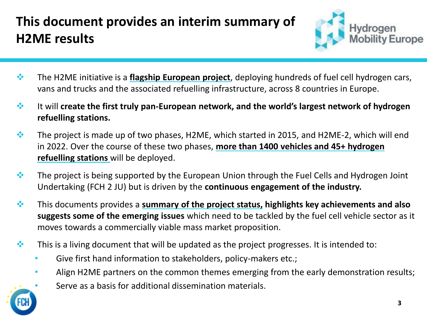# **This document provides an interim summary of H2ME results**



- ❖ The H2ME initiative is a **flagship European project**, deploying hundreds of fuel cell hydrogen cars, vans and trucks and the associated refuelling infrastructure, across 8 countries in Europe.
- ❖ It will **create the first truly pan-European network, and the world's largest network of hydrogen refuelling stations.**
- ❖ The project is made up of two phases, H2ME, which started in 2015, and H2ME-2, which will end in 2022. Over the course of these two phases, **more than 1400 vehicles and 45+ hydrogen refuelling stations** will be deployed.
- ❖ The project is being supported by the European Union through the Fuel Cells and Hydrogen Joint Undertaking (FCH 2 JU) but is driven by the **continuous engagement of the industry.**
- ❖ This documents provides a **summary of the project status, highlights key achievements and also suggests some of the emerging issues** which need to be tackled by the fuel cell vehicle sector as it moves towards a commercially viable mass market proposition.
- $\cdot$  This is a living document that will be updated as the project progresses. It is intended to:
	- Give first hand information to stakeholders, policy-makers etc.;
	- Align H2ME partners on the common themes emerging from the early demonstration results;
		- Serve as a basis for additional dissemination materials.

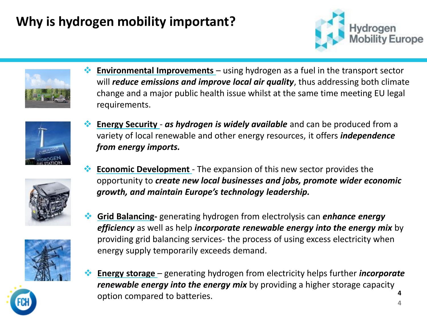# **Why is hydrogen mobility important?**

*from energy imports.*





❖ **Environmental Improvements** – using hydrogen as a fuel in the transport sector will *reduce emissions and improve local air quality*, thus addressing both climate change and a major public health issue whilst at the same time meeting EU legal requirements.

❖ **Energy Security** - *as hydrogen is widely available* and can be produced from a variety of local renewable and other energy resources, it offers *independence* 



- 
- 
- ❖ **Economic Development**  The expansion of this new sector provides the opportunity to *create new local businesses and jobs, promote wider economic growth, and maintain Europe's technology leadership.*
- ❖ **Grid Balancing-** generating hydrogen from electrolysis can *enhance energy efficiency* as well as help *incorporate renewable energy into the energy mix* by providing grid balancing services- the process of using excess electricity when energy supply temporarily exceeds demand.
- **4** ❖ **Energy storage** – generating hydrogen from electricity helps further *incorporate renewable energy into the energy mix* by providing a higher storage capacity option compared to batteries.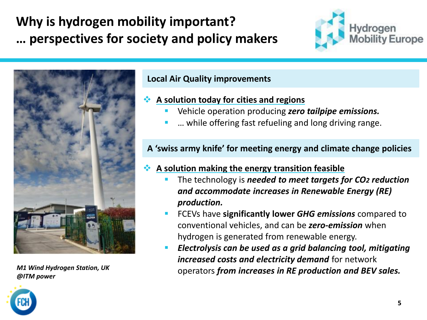# **Why is hydrogen mobility important? … perspectives for society and policy makers**





*@ITM power* 

### **Local Air Quality improvements**

### ❖ **A solution today for cities and regions**

- Vehicle operation producing *zero tailpipe emissions.*
- ... while offering fast refueling and long driving range.

### **A 'swiss army knife' for meeting energy and climate change policies**

### ❖ **A solution making the energy transition feasible**

- The technology is *needed to meet targets for CO<sub>2</sub> reduction and accommodate increases in Renewable Energy (RE) production.*
- FCEVs have **significantly lower** *GHG emissions* compared to conventional vehicles, and can be *zero-emission* when hydrogen is generated from renewable energy.
- *Electrolysis can be used as a grid balancing tool, mitigating increased costs and electricity demand* for network operators *from increases in RE production and BEV sales. M1 Wind Hydrogen Station, UK*

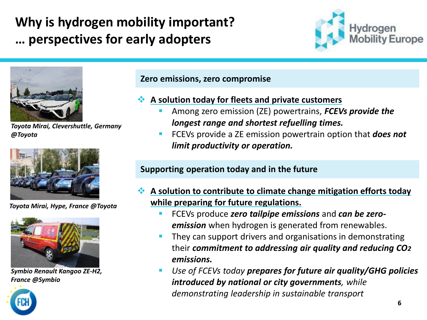# **Why is hydrogen mobility important? … perspectives for early adopters**





*Toyota Mirai, Clevershuttle, Germany @Toyota*



*Toyota Mirai, Hype, France @Toyota*



*Symbio Renault Kangoo ZE-H2, France @Symbio*



- ❖ **A solution today for fleets and private customers** 
	- Among zero emission (ZE) powertrains, *FCEVs provide the longest range and shortest refuelling times.*
	- FCEVs provide a ZE emission powertrain option that *does not limit productivity or operation.*

## **Supporting operation today and in the future**

- ❖ **A solution to contribute to climate change mitigation efforts today while preparing for future regulations.**
	- FCEVs produce *zero tailpipe emissions* and *can be zeroemission* when hydrogen is generated from renewables.
	- They can support drivers and organisations in demonstrating their *commitment to addressing air quality and reducing CO2 emissions.*
	- *Use of FCEVs today prepares for future air quality/GHG policies introduced by national or city governments, while demonstrating leadership in sustainable transport*

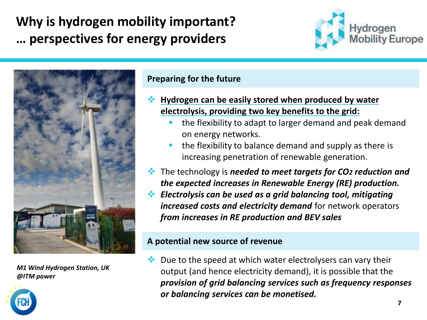# **Why is hydrogen mobility important? … perspectives for energy providers**





*M1 Wind Hydrogen Station, UK @ITM power* 



- ❖ **Hydrogen can be easily stored when produced by water electrolysis, providing two key benefits to the grid:**
	- the flexibility to adapt to larger demand and peak demand on energy networks.
	- the flexibility to balance demand and supply as there is increasing penetration of renewable generation.
- ❖ The technology is *needed to meet targets for CO2 reduction and the expected increases in Renewable Energy (RE) production.*
- ❖ *Electrolysis can be used as a grid balancing tool, mitigating increased costs and electricity demand* for network operators *from increases in RE production and BEV sales*

### **A potential new source of revenue**

Due to the speed at which water electrolysers can vary their output (and hence electricity demand), it is possible that the *provision of grid balancing services such as frequency responses or balancing services can be monetised.*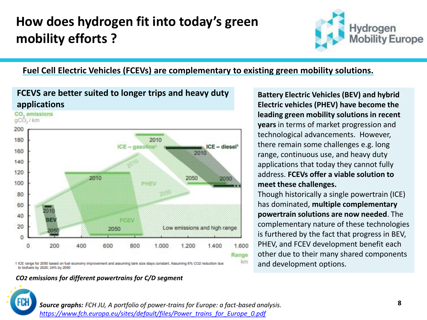# **How does hydrogen fit into today's green mobility efforts ?**



**Fuel Cell Electric Vehicles (FCEVs) are complementary to existing green mobility solutions.** 

### **FCEVS are better suited to longer trips and heavy duty applications**



1 ICE range for 2050 based on fuel economy improvement and assuming tank size stays constant. Assuming 6% CO2 reduction due to biofuels by 2020; 24% by 2050

### *CO2 emissions for different powertrains for C/D segment*

**Battery Electric Vehicles (BEV) and hybrid Electric vehicles (PHEV) have become the leading green mobility solutions in recent years** in terms of market progression and technological advancements. However, there remain some challenges e.g. long range, continuous use, and heavy duty applications that today they cannot fully address. **FCEVs offer a viable solution to meet these challenges.**

Though historically a single powertrain (ICE) has dominated, **multiple complementary powertrain solutions are now needed**. The complementary nature of these technologies is furthered by the fact that progress in BEV, PHEV, and FCEV development benefit each other due to their many shared components and development options.



*Source graphs: FCH JU, A portfolio of power-trains for Europe: a fact-based analysis. [https://www.fch.europa.eu/sites/default/files/Power\\_trains\\_for\\_Europe\\_0.pdf](https://www.fch.europa.eu/sites/default/files/Power_trains_for_Europe_0.pdf)*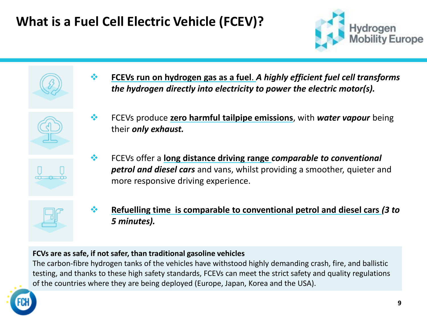# **What is a Fuel Cell Electric Vehicle (FCEV)?**







- ❖ **FCEVs run on hydrogen gas as a fuel**. *A highly efficient fuel cell transforms the hydrogen directly into electricity to power the electric motor(s).*
- ❖ FCEVs produce **zero harmful tailpipe emissions**, with *water vapour* being their *only exhaust.*



❖ FCEVs offer a **long distance driving range** *comparable to conventional petrol and diesel cars* and vans, whilst providing a smoother, quieter and more responsive driving experience.



❖ **Refuelling time is comparable to conventional petrol and diesel cars** *(3 to 5 minutes).*

### **FCVs are as safe, if not safer, than traditional gasoline vehicles**

The carbon-fibre hydrogen tanks of the vehicles have withstood highly demanding crash, fire, and ballistic testing, and thanks to these high safety standards, FCEVs can meet the strict safety and quality regulations of the countries where they are being deployed (Europe, Japan, Korea and the USA).

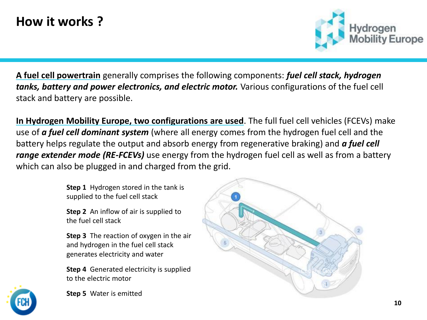# **How it works ?**



**A fuel cell powertrain** generally comprises the following components: *fuel cell stack, hydrogen tanks, battery and power electronics, and electric motor.* Various configurations of the fuel cell stack and battery are possible.

**In Hydrogen Mobility Europe, two configurations are used**. The full fuel cell vehicles (FCEVs) make use of *a fuel cell dominant system* (where all energy comes from the hydrogen fuel cell and the battery helps regulate the output and absorb energy from regenerative braking) and *a fuel cell range extender mode (RE-FCEVs)* use energy from the hydrogen fuel cell as well as from a battery which can also be plugged in and charged from the grid.

> **Step 1** Hydrogen stored in the tank is supplied to the fuel cell stack

**Step 2** An inflow of air is supplied to the fuel cell stack

**Step 3** The reaction of oxygen in the air and hydrogen in the fuel cell stack generates electricity and water

**Step 4** Generated electricity is supplied to the electric motor



**Step 5** Water is emitted

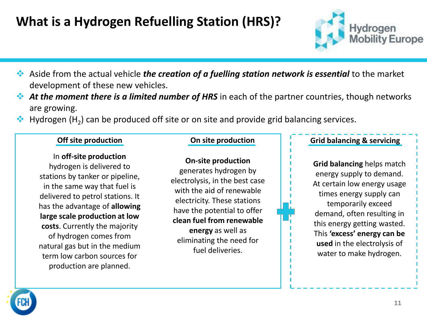# **What is a Hydrogen Refuelling Station (HRS)?**



- ❖ Aside from the actual vehicle *the creation of a fuelling station network is essential* to the market development of these new vehicles.
- ❖ *At the moment there is a limited number of HRS* in each of the partner countries, though networks are growing.
- $\clubsuit$  Hydrogen (H<sub>2</sub>) can be produced off site or on site and provide grid balancing services.

In **off-site production**  hydrogen is delivered to stations by tanker or pipeline, in the same way that fuel is delivered to petrol stations. It has the advantage of **allowing large scale production at low costs**. Currently the majority of hydrogen comes from natural gas but in the medium term low carbon sources for production are planned.

**On-site production**  generates hydrogen by electrolysis, in the best case with the aid of renewable electricity. These stations have the potential to offer **clean fuel from renewable energy** as well as eliminating the need for fuel deliveries.

### **Off site production On site production Grid balancing & servicing**

**Grid balancing** helps match energy supply to demand. At certain low energy usage times energy supply can temporarily exceed demand, often resulting in this energy getting wasted. This **'excess' energy can be used** in the electrolysis of water to make hydrogen.

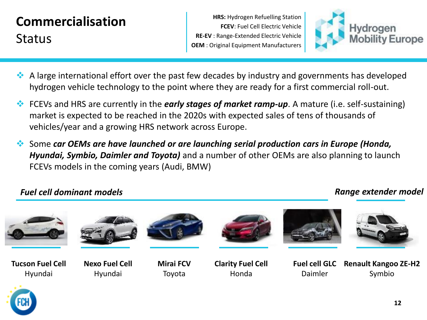# **Commercialisation Status**

**HRS:** Hydrogen Refuelling Station **FCEV**: Fuel Cell Electric Vehicle **RE-EV** : Range-Extended Electric Vehicle **OEM** : Original Equipment Manufacturers



- ❖ A large international effort over the past few decades by industry and governments has developed hydrogen vehicle technology to the point where they are ready for a first commercial roll-out.
- ❖ FCEVs and HRS are currently in the *early stages of market ramp-up*. A mature (i.e. self-sustaining) market is expected to be reached in the 2020s with expected sales of tens of thousands of vehicles/year and a growing HRS network across Europe.
- ❖ Some *car OEMs are have launched or are launching serial production cars in Europe (Honda, Hyundai, Symbio, Daimler and Toyota)* and a number of other OEMs are also planning to launch FCEVs models in the coming years (Audi, BMW)

## *Fuel cell dominant models Range extender model*

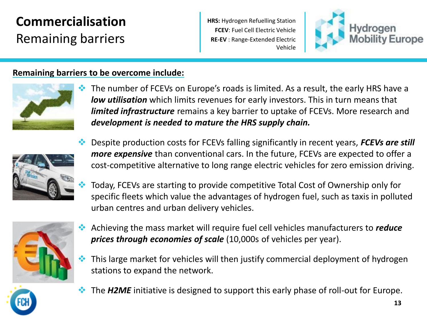# **Commercialisation**  Remaining barriers

**HRS:** Hydrogen Refuelling Station **FCEV**: Fuel Cell Electric Vehicle **RE-EV** : Range-Extended Electric Vehicle



## **Remaining barriers to be overcome include:**



❖ The number of FCEVs on Europe's roads is limited. As a result, the early HRS have a *low utilisation* which limits revenues for early investors. This in turn means that *limited infrastructure* remains a key barrier to uptake of FCEVs. More research and *development is needed to mature the HRS supply chain.*



- ❖ Despite production costs for FCEVs falling significantly in recent years, *FCEVs are still more expensive* than conventional cars. In the future, FCEVs are expected to offer a cost-competitive alternative to long range electric vehicles for zero emission driving.
- ❖ Today, FCEVs are starting to provide competitive Total Cost of Ownership only for specific fleets which value the advantages of hydrogen fuel, such as taxis in polluted urban centres and urban delivery vehicles.



- ❖ Achieving the mass market will require fuel cell vehicles manufacturers to *reduce prices through economies of scale* (10,000s of vehicles per year).
- ❖ This large market for vehicles will then justify commercial deployment of hydrogen stations to expand the network.
- The **H2ME** initiative is designed to support this early phase of roll-out for Europe.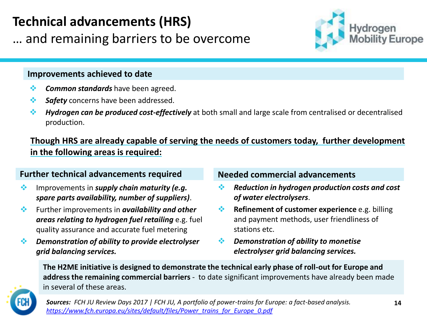# **Technical advancements (HRS)**

… and remaining barriers to be overcome

# Hydrogen

### **Improvements achieved to date**

- ❖ *Common standards* have been agreed.
- ❖ *Safety* concerns have been addressed.
- ❖ *Hydrogen can be produced cost-effectively* at both small and large scale from centralised or decentralised production.

**Though HRS are already capable of serving the needs of customers today, further development in the following areas is required:**

### **Further technical advancements required Needed commercial advancements**

- ❖ Improvements in *supply chain maturity (e.g. spare parts availability, number of suppliers)*.
- ❖ Further improvements in *availability and other areas relating to hydrogen fuel retailing* e.g. fuel quality assurance and accurate fuel metering
- ❖ *Demonstration of ability to provide electrolyser grid balancing services.*

- ❖ *Reduction in hydrogen production costs and cost of water electrolysers*.
- ❖ **Refinement of customer experience** e.g. billing and payment methods, user friendliness of stations etc.
- ❖ *Demonstration of ability to monetise electrolyser grid balancing services.*

**The H2ME initiative is designed to demonstrate the technical early phase of roll-out for Europe and address the remaining commercial barriers** - to date significant improvements have already been made in several of these areas.



*Sources: FCH JU Review Days 2017 | FCH JU, A portfolio of power-trains for Europe: a fact-based analysis. [https://www.fch.europa.eu/sites/default/files/Power\\_trains\\_for\\_Europe\\_0.pdf](https://www.fch.europa.eu/sites/default/files/Power_trains_for_Europe_0.pdf)*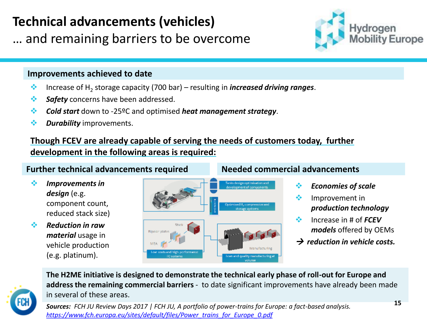# **Technical advancements (vehicles)**

… and remaining barriers to be overcome

### **Improvements achieved to date**

- ❖ Increase of H<sup>2</sup> storage capacity (700 bar) resulting in *increased driving ranges*.
- ❖ *Safety* concerns have been addressed.
- ❖ *Cold start* down to -25ºC and optimised *heat management strategy*.
- ❖ *Durability* improvements.

## **Though FCEV are already capable of serving the needs of customers today, further development in the following areas is required:**

## **Further technical advancements required**

- ❖ *Improvements in*  design (e.g. component count, reduced stack size)
- ❖ *Reduction in raw material* usage in vehicle production (e.g. platinum).



### **Needed commercial advancements**

- ❖ *Economies of scale*
- ❖ Improvement in *production technology*

Hydrogen

Europe

- ❖ Increase in # of *FCEV models* offered by OEMs
- → *reduction in vehicle costs.*

**The H2ME initiative is designed to demonstrate the technical early phase of roll-out for Europe and address the remaining commercial barriers** - to date significant improvements have already been made in several of these areas.



*Sources: FCH JU Review Days 2017 | FCH JU, A portfolio of power-trains for Europe: a fact-based analysis. [https://www.fch.europa.eu/sites/default/files/Power\\_trains\\_for\\_Europe\\_0.pdf](https://www.fch.europa.eu/sites/default/files/Power_trains_for_Europe_0.pdf)*